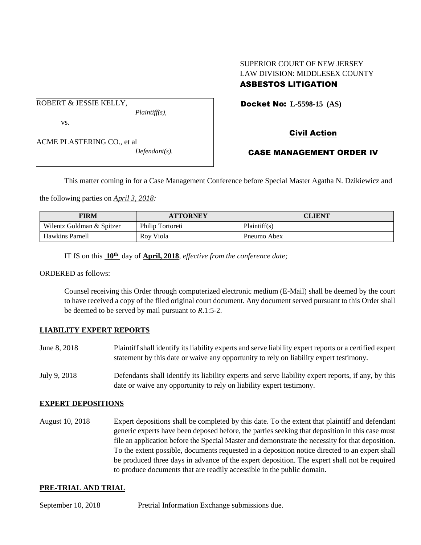# SUPERIOR COURT OF NEW JERSEY LAW DIVISION: MIDDLESEX COUNTY

## ASBESTOS LITIGATION

Docket No: **L-5598-15 (AS)** 

vs.

ROBERT & JESSIE KELLY,

ACME PLASTERING CO., et al *Defendant(s).* Civil Action

## CASE MANAGEMENT ORDER IV

This matter coming in for a Case Management Conference before Special Master Agatha N. Dzikiewicz and

the following parties on *April 3, 2018:*

| <b>FIRM</b>               | <b>ATTORNEY</b>  | <b>CLIENT</b> |
|---------------------------|------------------|---------------|
| Wilentz Goldman & Spitzer | Philip Tortoreti | Plaintiff(s)  |
| <b>Hawkins Parnell</b>    | Rov Viola        | Pneumo Abex   |

IT IS on this **10th** day of **April, 2018**, *effective from the conference date;*

*Plaintiff(s),*

ORDERED as follows:

Counsel receiving this Order through computerized electronic medium (E-Mail) shall be deemed by the court to have received a copy of the filed original court document. Any document served pursuant to this Order shall be deemed to be served by mail pursuant to *R*.1:5-2.

### **LIABILITY EXPERT REPORTS**

- June 8, 2018 Plaintiff shall identify its liability experts and serve liability expert reports or a certified expert statement by this date or waive any opportunity to rely on liability expert testimony.
- July 9, 2018 Defendants shall identify its liability experts and serve liability expert reports, if any, by this date or waive any opportunity to rely on liability expert testimony.

### **EXPERT DEPOSITIONS**

August 10, 2018 Expert depositions shall be completed by this date. To the extent that plaintiff and defendant generic experts have been deposed before, the parties seeking that deposition in this case must file an application before the Special Master and demonstrate the necessity for that deposition. To the extent possible, documents requested in a deposition notice directed to an expert shall be produced three days in advance of the expert deposition. The expert shall not be required to produce documents that are readily accessible in the public domain.

#### **PRE-TRIAL AND TRIAL**

September 10, 2018 Pretrial Information Exchange submissions due.